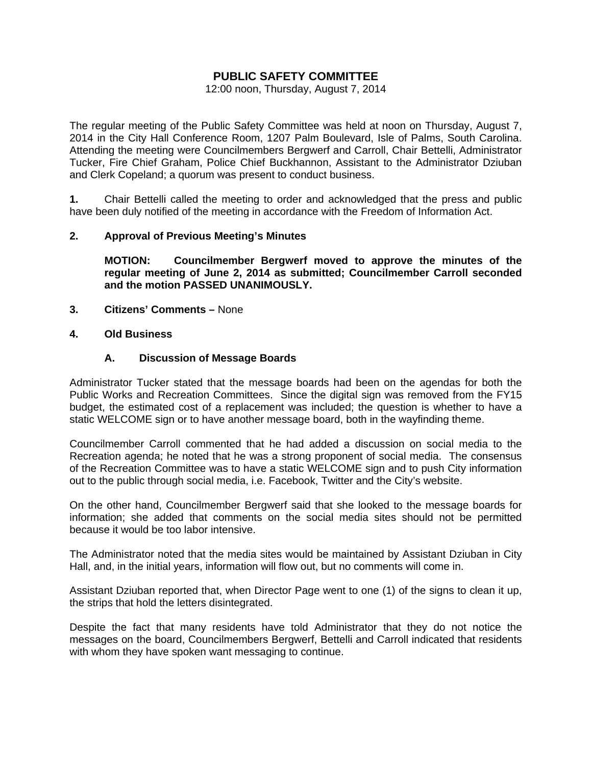## **PUBLIC SAFETY COMMITTEE**

12:00 noon, Thursday, August 7, 2014

The regular meeting of the Public Safety Committee was held at noon on Thursday, August 7, 2014 in the City Hall Conference Room, 1207 Palm Boulevard, Isle of Palms, South Carolina. Attending the meeting were Councilmembers Bergwerf and Carroll, Chair Bettelli, Administrator Tucker, Fire Chief Graham, Police Chief Buckhannon, Assistant to the Administrator Dziuban and Clerk Copeland; a quorum was present to conduct business.

**1.** Chair Bettelli called the meeting to order and acknowledged that the press and public have been duly notified of the meeting in accordance with the Freedom of Information Act.

#### **2. Approval of Previous Meeting's Minutes**

 **MOTION: Councilmember Bergwerf moved to approve the minutes of the regular meeting of June 2, 2014 as submitted; Councilmember Carroll seconded and the motion PASSED UNANIMOUSLY.** 

**3. Citizens' Comments –** None

#### **4. Old Business**

#### **A. Discussion of Message Boards**

Administrator Tucker stated that the message boards had been on the agendas for both the Public Works and Recreation Committees. Since the digital sign was removed from the FY15 budget, the estimated cost of a replacement was included; the question is whether to have a static WELCOME sign or to have another message board, both in the wayfinding theme.

Councilmember Carroll commented that he had added a discussion on social media to the Recreation agenda; he noted that he was a strong proponent of social media. The consensus of the Recreation Committee was to have a static WELCOME sign and to push City information out to the public through social media, i.e. Facebook, Twitter and the City's website.

On the other hand, Councilmember Bergwerf said that she looked to the message boards for information; she added that comments on the social media sites should not be permitted because it would be too labor intensive.

The Administrator noted that the media sites would be maintained by Assistant Dziuban in City Hall, and, in the initial years, information will flow out, but no comments will come in.

Assistant Dziuban reported that, when Director Page went to one (1) of the signs to clean it up, the strips that hold the letters disintegrated.

Despite the fact that many residents have told Administrator that they do not notice the messages on the board, Councilmembers Bergwerf, Bettelli and Carroll indicated that residents with whom they have spoken want messaging to continue.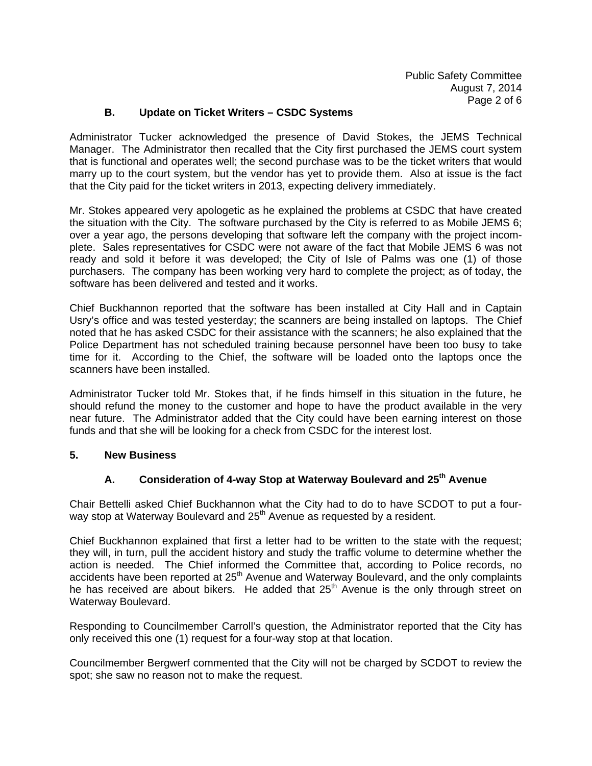## **B. Update on Ticket Writers – CSDC Systems**

Administrator Tucker acknowledged the presence of David Stokes, the JEMS Technical Manager. The Administrator then recalled that the City first purchased the JEMS court system that is functional and operates well; the second purchase was to be the ticket writers that would marry up to the court system, but the vendor has yet to provide them. Also at issue is the fact that the City paid for the ticket writers in 2013, expecting delivery immediately.

Mr. Stokes appeared very apologetic as he explained the problems at CSDC that have created the situation with the City. The software purchased by the City is referred to as Mobile JEMS 6; over a year ago, the persons developing that software left the company with the project incomplete. Sales representatives for CSDC were not aware of the fact that Mobile JEMS 6 was not ready and sold it before it was developed; the City of Isle of Palms was one (1) of those purchasers. The company has been working very hard to complete the project; as of today, the software has been delivered and tested and it works.

Chief Buckhannon reported that the software has been installed at City Hall and in Captain Usry's office and was tested yesterday; the scanners are being installed on laptops. The Chief noted that he has asked CSDC for their assistance with the scanners; he also explained that the Police Department has not scheduled training because personnel have been too busy to take time for it. According to the Chief, the software will be loaded onto the laptops once the scanners have been installed.

Administrator Tucker told Mr. Stokes that, if he finds himself in this situation in the future, he should refund the money to the customer and hope to have the product available in the very near future. The Administrator added that the City could have been earning interest on those funds and that she will be looking for a check from CSDC for the interest lost.

#### **5. New Business**

## **A. Consideration of 4-way Stop at Waterway Boulevard and 25th Avenue**

Chair Bettelli asked Chief Buckhannon what the City had to do to have SCDOT to put a fourway stop at Waterway Boulevard and 25<sup>th</sup> Avenue as requested by a resident.

Chief Buckhannon explained that first a letter had to be written to the state with the request; they will, in turn, pull the accident history and study the traffic volume to determine whether the action is needed. The Chief informed the Committee that, according to Police records, no accidents have been reported at 25<sup>th</sup> Avenue and Waterway Boulevard, and the only complaints he has received are about bikers. He added that 25<sup>th</sup> Avenue is the only through street on Waterway Boulevard.

Responding to Councilmember Carroll's question, the Administrator reported that the City has only received this one (1) request for a four-way stop at that location.

Councilmember Bergwerf commented that the City will not be charged by SCDOT to review the spot; she saw no reason not to make the request.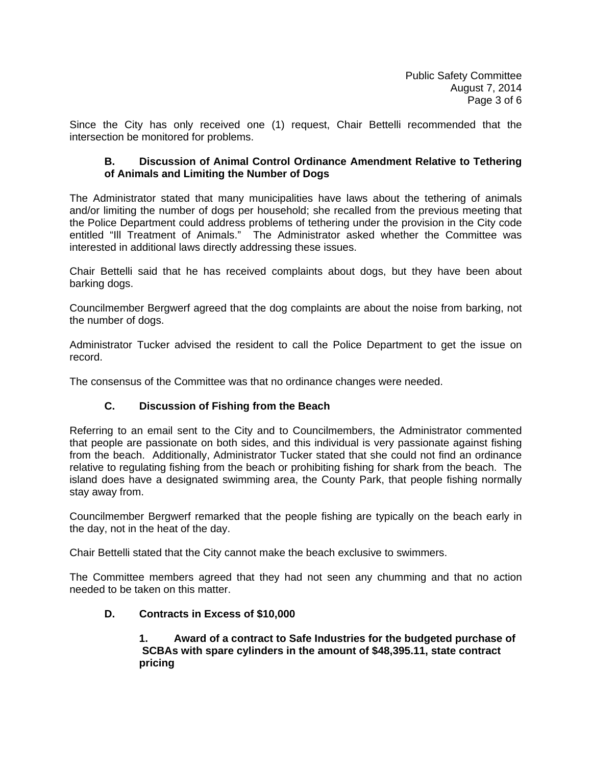Since the City has only received one (1) request, Chair Bettelli recommended that the intersection be monitored for problems.

#### **B. Discussion of Animal Control Ordinance Amendment Relative to Tethering of Animals and Limiting the Number of Dogs**

The Administrator stated that many municipalities have laws about the tethering of animals and/or limiting the number of dogs per household; she recalled from the previous meeting that the Police Department could address problems of tethering under the provision in the City code entitled "Ill Treatment of Animals." The Administrator asked whether the Committee was interested in additional laws directly addressing these issues.

Chair Bettelli said that he has received complaints about dogs, but they have been about barking dogs.

Councilmember Bergwerf agreed that the dog complaints are about the noise from barking, not the number of dogs.

Administrator Tucker advised the resident to call the Police Department to get the issue on record.

The consensus of the Committee was that no ordinance changes were needed.

## **C. Discussion of Fishing from the Beach**

Referring to an email sent to the City and to Councilmembers, the Administrator commented that people are passionate on both sides, and this individual is very passionate against fishing from the beach. Additionally, Administrator Tucker stated that she could not find an ordinance relative to regulating fishing from the beach or prohibiting fishing for shark from the beach. The island does have a designated swimming area, the County Park, that people fishing normally stay away from.

Councilmember Bergwerf remarked that the people fishing are typically on the beach early in the day, not in the heat of the day.

Chair Bettelli stated that the City cannot make the beach exclusive to swimmers.

The Committee members agreed that they had not seen any chumming and that no action needed to be taken on this matter.

## **D. Contracts in Excess of \$10,000**

 **1. Award of a contract to Safe Industries for the budgeted purchase of SCBAs with spare cylinders in the amount of \$48,395.11, state contract pricing**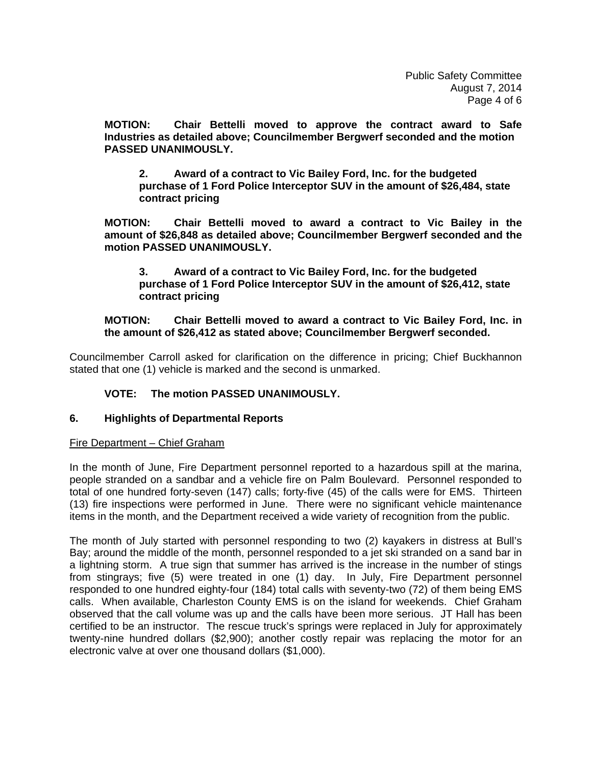**MOTION: Chair Bettelli moved to approve the contract award to Safe Industries as detailed above; Councilmember Bergwerf seconded and the motion PASSED UNANIMOUSLY.** 

 **2. Award of a contract to Vic Bailey Ford, Inc. for the budgeted purchase of 1 Ford Police Interceptor SUV in the amount of \$26,484, state contract pricing** 

 **MOTION: Chair Bettelli moved to award a contract to Vic Bailey in the amount of \$26,848 as detailed above; Councilmember Bergwerf seconded and the motion PASSED UNANIMOUSLY.** 

 **3. Award of a contract to Vic Bailey Ford, Inc. for the budgeted purchase of 1 Ford Police Interceptor SUV in the amount of \$26,412, state contract pricing** 

#### **MOTION: Chair Bettelli moved to award a contract to Vic Bailey Ford, Inc. in the amount of \$26,412 as stated above; Councilmember Bergwerf seconded.**

Councilmember Carroll asked for clarification on the difference in pricing; Chief Buckhannon stated that one (1) vehicle is marked and the second is unmarked.

## **VOTE: The motion PASSED UNANIMOUSLY.**

## **6. Highlights of Departmental Reports**

#### Fire Department – Chief Graham

In the month of June, Fire Department personnel reported to a hazardous spill at the marina, people stranded on a sandbar and a vehicle fire on Palm Boulevard. Personnel responded to total of one hundred forty-seven (147) calls; forty-five (45) of the calls were for EMS. Thirteen (13) fire inspections were performed in June. There were no significant vehicle maintenance items in the month, and the Department received a wide variety of recognition from the public.

The month of July started with personnel responding to two (2) kayakers in distress at Bull's Bay; around the middle of the month, personnel responded to a jet ski stranded on a sand bar in a lightning storm. A true sign that summer has arrived is the increase in the number of stings from stingrays; five (5) were treated in one (1) day. In July, Fire Department personnel responded to one hundred eighty-four (184) total calls with seventy-two (72) of them being EMS calls. When available, Charleston County EMS is on the island for weekends. Chief Graham observed that the call volume was up and the calls have been more serious. JT Hall has been certified to be an instructor. The rescue truck's springs were replaced in July for approximately twenty-nine hundred dollars (\$2,900); another costly repair was replacing the motor for an electronic valve at over one thousand dollars (\$1,000).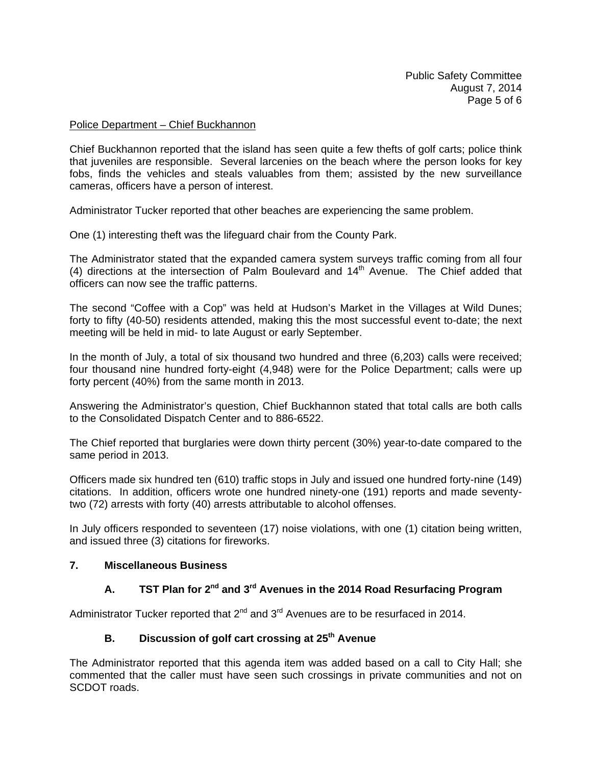#### Police Department – Chief Buckhannon

Chief Buckhannon reported that the island has seen quite a few thefts of golf carts; police think that juveniles are responsible. Several larcenies on the beach where the person looks for key fobs, finds the vehicles and steals valuables from them; assisted by the new surveillance cameras, officers have a person of interest.

Administrator Tucker reported that other beaches are experiencing the same problem.

One (1) interesting theft was the lifeguard chair from the County Park.

The Administrator stated that the expanded camera system surveys traffic coming from all four (4) directions at the intersection of Palm Boulevard and  $14<sup>th</sup>$  Avenue. The Chief added that officers can now see the traffic patterns.

The second "Coffee with a Cop" was held at Hudson's Market in the Villages at Wild Dunes; forty to fifty (40-50) residents attended, making this the most successful event to-date; the next meeting will be held in mid- to late August or early September.

In the month of July, a total of six thousand two hundred and three (6,203) calls were received; four thousand nine hundred forty-eight (4,948) were for the Police Department; calls were up forty percent (40%) from the same month in 2013.

Answering the Administrator's question, Chief Buckhannon stated that total calls are both calls to the Consolidated Dispatch Center and to 886-6522.

The Chief reported that burglaries were down thirty percent (30%) year-to-date compared to the same period in 2013.

Officers made six hundred ten (610) traffic stops in July and issued one hundred forty-nine (149) citations. In addition, officers wrote one hundred ninety-one (191) reports and made seventytwo (72) arrests with forty (40) arrests attributable to alcohol offenses.

In July officers responded to seventeen (17) noise violations, with one (1) citation being written, and issued three (3) citations for fireworks.

#### **7. Miscellaneous Business**

# **A. TST Plan for 2nd and 3rd Avenues in the 2014 Road Resurfacing Program**

Administrator Tucker reported that  $2^{nd}$  and  $3^{rd}$  Avenues are to be resurfaced in 2014.

## **B. Discussion of golf cart crossing at 25th Avenue**

The Administrator reported that this agenda item was added based on a call to City Hall; she commented that the caller must have seen such crossings in private communities and not on SCDOT roads.